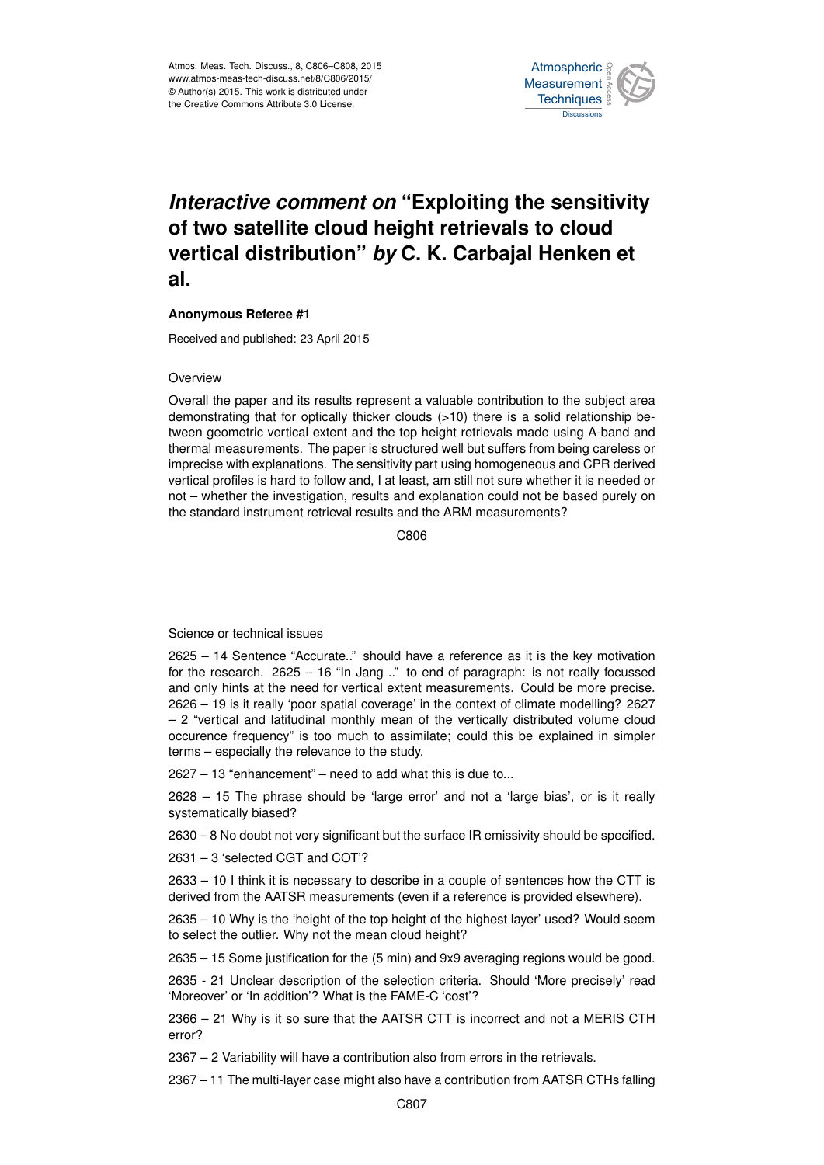

## *Interactive comment on* **"Exploiting the sensitivity of two satellite cloud height retrievals to cloud vertical distribution"** *by* **C. K. Carbajal Henken et al.**

## **Anonymous Referee #1**

Received and published: 23 April 2015

## **Overview**

Overall the paper and its results represent a valuable contribution to the subject area demonstrating that for optically thicker clouds (>10) there is a solid relationship between geometric vertical extent and the top height retrievals made using A-band and thermal measurements. The paper is structured well but suffers from being careless or imprecise with explanations. The sensitivity part using homogeneous and CPR derived vertical profiles is hard to follow and, I at least, am still not sure whether it is needed or not – whether the investigation, results and explanation could not be based purely on the standard instrument retrieval results and the ARM measurements?

C<sub>806</sub>

## Science or technical issues

2625 – 14 Sentence "Accurate.." should have a reference as it is the key motivation for the research. 2625 – 16 "In Jang .." to end of paragraph: is not really focussed and only hints at the need for vertical extent measurements. Could be more precise. 2626 – 19 is it really 'poor spatial coverage' in the context of climate modelling? 2627 – 2 "vertical and latitudinal monthly mean of the vertically distributed volume cloud occurence frequency" is too much to assimilate; could this be explained in simpler terms – especially the relevance to the study.

2627 – 13 "enhancement" – need to add what this is due to...

2628 – 15 The phrase should be 'large error' and not a 'large bias', or is it really systematically biased?

2630 – 8 No doubt not very significant but the surface IR emissivity should be specified.

2631 – 3 'selected CGT and COT'?

2633 – 10 I think it is necessary to describe in a couple of sentences how the CTT is derived from the AATSR measurements (even if a reference is provided elsewhere).

2635 – 10 Why is the 'height of the top height of the highest layer' used? Would seem to select the outlier. Why not the mean cloud height?

2635 – 15 Some justification for the (5 min) and 9x9 averaging regions would be good.

2635 - 21 Unclear description of the selection criteria. Should 'More precisely' read 'Moreover' or 'In addition'? What is the FAME-C 'cost'?

2366 – 21 Why is it so sure that the AATSR CTT is incorrect and not a MERIS CTH error?

2367 – 2 Variability will have a contribution also from errors in the retrievals.

2367 – 11 The multi-layer case might also have a contribution from AATSR CTHs falling